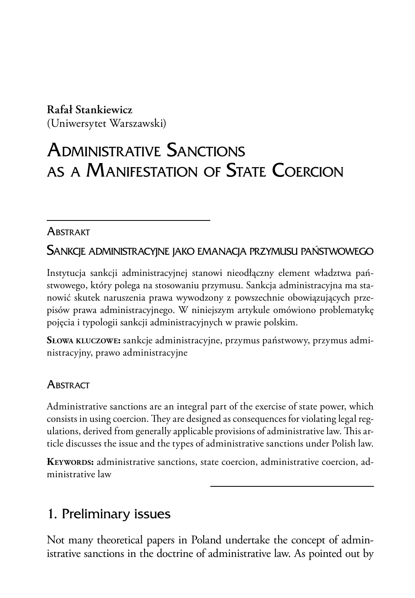#### **Rafał Stankiewicz**

(Uniwersytet Warszawski)

# Administrative Sanctions as a Manifestation of State Coercion

#### **ABSTRAKT**

Sankcje administracyjne jako emanacja przymusu państwowego

Instytucja sankcji administracyjnej stanowi nieodłączny element władztwa państwowego, który polega na stosowaniu przymusu. Sankcja administracyjna ma stanowić skutek naruszenia prawa wywodzony z powszechnie obowiązujących przepisów prawa administracyjnego. W niniejszym artykule omówiono problematykę pojęcia i typologii sankcji administracyjnych w prawie polskim.

**Słowa kluczowe:** sankcje administracyjne, przymus państwowy, przymus administracyjny, prawo administracyjne

### **ABSTRACT**

Administrative sanctions are an integral part of the exercise of state power, which consists in using coercion. They are designed as consequences for violating legal regulations, derived from generally applicable provisions of administrative law. This article discusses the issue and the types of administrative sanctions under Polish law.

**Keywords:** administrative sanctions, state coercion, administrative coercion, administrative law

# 1. Preliminary issues

Not many theoretical papers in Poland undertake the concept of administrative sanctions in the doctrine of administrative law. As pointed out by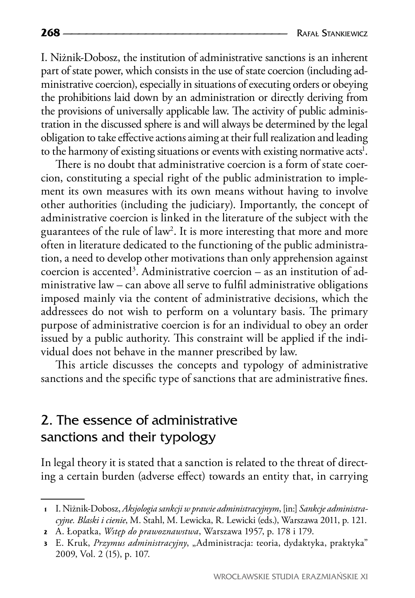I. Niżnik-Dobosz, the institution of administrative sanctions is an inherent part of state power, which consists in the use of state coercion (including administrative coercion), especially in situations of executing orders or obeying the prohibitions laid down by an administration or directly deriving from the provisions of universally applicable law. The activity of public administration in the discussed sphere is and will always be determined by the legal obligation to take effective actions aiming at their full realization and leading to the harmony of existing situations or events with existing normative acts<sup>1</sup>.

There is no doubt that administrative coercion is a form of state coercion, constituting a special right of the public administration to implement its own measures with its own means without having to involve other authorities (including the judiciary). Importantly, the concept of administrative coercion is linked in the literature of the subject with the guarantees of the rule of law2 . It is more interesting that more and more often in literature dedicated to the functioning of the public administration, a need to develop other motivations than only apprehension against  $\alpha$  coercion is accented<sup>3</sup>. Administrative coercion – as an institution of administrative law – can above all serve to fulfil administrative obligations imposed mainly via the content of administrative decisions, which the addressees do not wish to perform on a voluntary basis. The primary purpose of administrative coercion is for an individual to obey an order issued by a public authority. This constraint will be applied if the individual does not behave in the manner prescribed by law.

This article discusses the concepts and typology of administrative sanctions and the specific type of sanctions that are administrative fines.

### 2. The essence of administrative sanctions and their typology

In legal theory it is stated that a sanction is related to the threat of directing a certain burden (adverse effect) towards an entity that, in carrying

WROCŁAWSKIE STUDIA ERAZMIAŃSKIE XI

**<sup>1</sup>** I. Niżnik-Dobosz, *Aksjologia sankcji w prawie administracyjnym*, [in:] *Sankcje administracyjne. Blaski i cienie*, M. Stahl, M. Lewicka, R. Lewicki (eds.), Warszawa 2011, p. 121.

**<sup>2</sup>** A. Łopatka, *Wstęp do prawoznawstwa*, Warszawa 1957, p. 178 i 179.

**<sup>3</sup>** E. Kruk, *Przymus administracyjny*, "Administracja: teoria, dydaktyka, praktyka" 2009, Vol. 2 (15), p. 107.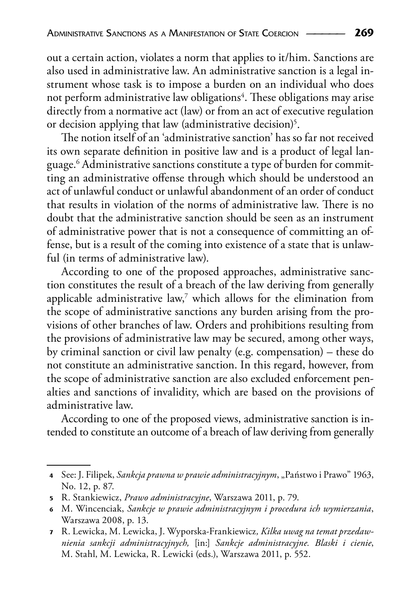out a certain action, violates a norm that applies to it/him. Sanctions are also used in administrative law. An administrative sanction is a legal instrument whose task is to impose a burden on an individual who does not perform administrative law obligations<sup>4</sup>. These obligations may arise directly from a normative act (law) or from an act of executive regulation or decision applying that law (administrative decision)<sup>5</sup>.

The notion itself of an 'administrative sanction' has so far not received its own separate definition in positive law and is a product of legal language.6 Administrative sanctions constitute a type of burden for committing an administrative offense through which should be understood an act of unlawful conduct or unlawful abandonment of an order of conduct that results in violation of the norms of administrative law. There is no doubt that the administrative sanction should be seen as an instrument of administrative power that is not a consequence of committing an offense, but is a result of the coming into existence of a state that is unlawful (in terms of administrative law).

According to one of the proposed approaches, administrative sanction constitutes the result of a breach of the law deriving from generally applicable administrative law, $^7$  which allows for the elimination from the scope of administrative sanctions any burden arising from the provisions of other branches of law. Orders and prohibitions resulting from the provisions of administrative law may be secured, among other ways, by criminal sanction or civil law penalty (e.g. compensation) – these do not constitute an administrative sanction. In this regard, however, from the scope of administrative sanction are also excluded enforcement penalties and sanctions of invalidity, which are based on the provisions of administrative law.

According to one of the proposed views, administrative sanction is intended to constitute an outcome of a breach of law deriving from generally

**<sup>4</sup>** See: J. Filipek, *Sankcja prawna w prawie administracyjnym*, "Państwo i Prawo" 1963, No. 12, p. 87.

**<sup>5</sup>** R. Stankiewicz, *Prawo administracyjne*, Warszawa 2011, p. 79.

**<sup>6</sup>** M. Wincenciak, *Sankcje w prawie administracyjnym i procedura ich wymierzania*, Warszawa 2008, p. 13.

**<sup>7</sup>** R. Lewicka, M. Lewicka, J. Wyporska-Frankiewicz*, Kilka uwag na temat przedawnienia sankcji administracyjnych,* [in:] *Sankcje administracyjne. Blaski i cienie*, M. Stahl, M. Lewicka, R. Lewicki (eds.), Warszawa 2011, p. 552.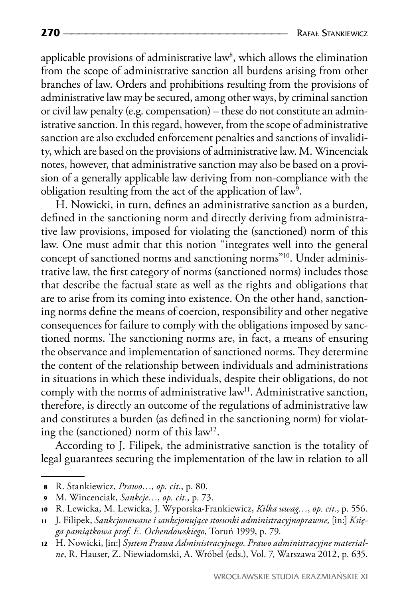applicable provisions of administrative law $^{\text{s}}$ , which allows the elimination from the scope of administrative sanction all burdens arising from other branches of law. Orders and prohibitions resulting from the provisions of administrative law may be secured, among other ways, by criminal sanction or civil law penalty (e.g. compensation) – these do not constitute an administrative sanction. In this regard, however, from the scope of administrative sanction are also excluded enforcement penalties and sanctions of invalidity, which are based on the provisions of administrative law. M. Wincenciak notes, however, that administrative sanction may also be based on a provision of a generally applicable law deriving from non-compliance with the obligation resulting from the act of the application of law<sup>9</sup>.

H. Nowicki, in turn, defines an administrative sanction as a burden, defined in the sanctioning norm and directly deriving from administrative law provisions, imposed for violating the (sanctioned) norm of this law. One must admit that this notion "integrates well into the general concept of sanctioned norms and sanctioning norms"10. Under administrative law, the first category of norms (sanctioned norms) includes those that describe the factual state as well as the rights and obligations that are to arise from its coming into existence. On the other hand, sanctioning norms define the means of coercion, responsibility and other negative consequences for failure to comply with the obligations imposed by sanctioned norms. The sanctioning norms are, in fact, a means of ensuring the observance and implementation of sanctioned norms. They determine the content of the relationship between individuals and administrations in situations in which these individuals, despite their obligations, do not comply with the norms of administrative law<sup>11</sup>. Administrative sanction, therefore, is directly an outcome of the regulations of administrative law and constitutes a burden (as defined in the sanctioning norm) for violating the (sanctioned) norm of this law<sup>12</sup>.

According to J. Filipek, the administrative sanction is the totality of legal guarantees securing the implementation of the law in relation to all

**<sup>8</sup>** R. Stankiewicz, *Prawo…*, *op. cit.*, p. 80.

**<sup>9</sup>** M. Wincenciak, *Sankcje…*, *op. cit.*, p. 73.

**<sup>10</sup>** R. Lewicka, M. Lewicka, J. Wyporska-Frankiewicz, *Kilka uwag…*, *op. cit.*, p. 556.

**<sup>11</sup>** J. Filipek, *Sankcjonowane i sankcjonujące stosunki administracyjnoprawne,* [in:] *Księga pamiątkowa prof. E. Ochendowskiego*, Toruń 1999, p. 79.

**<sup>12</sup>** H. Nowicki, [in:] *System Prawa Administracyjnego. Prawo administracyjne materialne*, R. Hauser, Z. Niewiadomski, A. Wróbel (eds.), Vol. 7, Warszawa 2012, p. 635.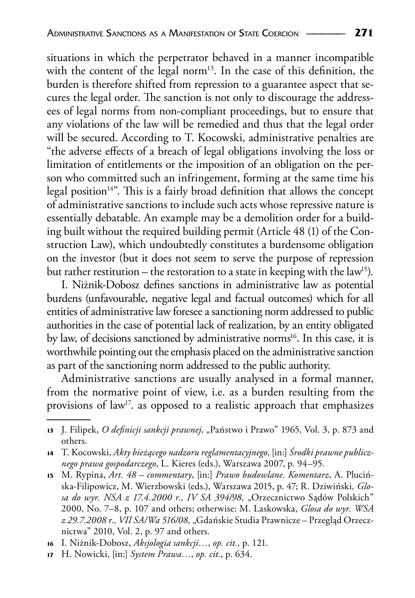situations in which the perpetrator behaved in a manner incompatible with the content of the legal norm<sup>13</sup>. In the case of this definition, the burden is therefore shifted from repression to a guarantee aspect that secures the legal order. The sanction is not only to discourage the addressees of legal norms from non-compliant proceedings, but to ensure that any violations of the law will be remedied and thus that the legal order will be secured. According to T. Kocowski, administrative penalties are "the adverse effects of a breach of legal obligations involving the loss or limitation of entitlements or the imposition of an obligation on the person who committed such an infringement, forming at the same time his legal position<sup>14"</sup>. This is a fairly broad definition that allows the concept of administrative sanctions to include such acts whose repressive nature is essentially debatable. An example may be a demolition order for a building built without the required building permit (Article 48 (1) of the Construction Law), which undoubtedly constitutes a burdensome obligation on the investor (but it does not seem to serve the purpose of repression but rather restitution – the restoration to a state in keeping with the law<sup>15</sup>).

I. Niżnik-Dobosz defines sanctions in administrative law as potential burdens (unfavourable, negative legal and factual outcomes) which for all entities of administrative law foresee a sanctioning norm addressed to public authorities in the case of potential lack of realization, by an entity obligated by law, of decisions sanctioned by administrative norms<sup>16</sup>. In this case, it is worthwhile pointing out the emphasis placed on the administrative sanction as part of the sanctioning norm addressed to the public authority.

Administrative sanctions are usually analysed in a formal manner, from the normative point of view, i.e. as a burden resulting from the provisions of law<sup>17</sup>. as opposed to a realistic approach that emphasizes

- **<sup>15</sup>** M. Rypina, *Art. 48 commentary*, [in:] *Prawo budowlane. Komentarz*, A. Plucińska-Filipowicz, M. Wierzbowski (eds.), Warszawa 2015, p. 47; R. Dziwiński*, Glo*sa do wyr. NSA z 17.4.2000 r., IV SA 394/98, "Orzecznictwo Sądów Polskich" 2000, No. 7–8, p. 107 and others; otherwise: M. Laskowska, *Glosa do wyr. WSA z 29.7.2008 r., VII SA/Wa 516/08,* "Gdańskie Studia Prawnicze – Przegląd Orzecznictwa" 2010, Vol. 2, p. 97 and others.
- **<sup>16</sup>** I. Niżnik-Dobosz, *Aksjologia sankcji…*, *op. cit.*, p. 121.
- **<sup>17</sup>** H. Nowicki, [in:] *System Prawa…*, *op. cit.*, p. 634.

<sup>13</sup> J. Filipek, O definicji sankcji prawnej, "Państwo i Prawo" 1965, Vol. 3, p. 873 and others.

**<sup>14</sup>** T. Kocowski, *Akty bieżącego nadzoru reglamentacyjnego*, [in:] *Środki prawne publicznego prawa gospodarczego*, L. Kieres (eds.), Warszawa 2007, p. 94–95.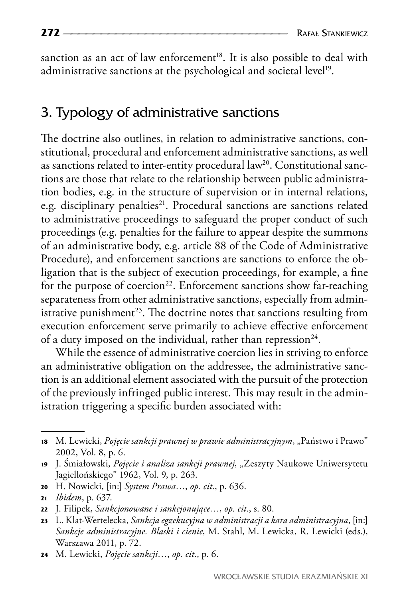sanction as an act of law enforcement<sup>18</sup>. It is also possible to deal with administrative sanctions at the psychological and societal level<sup>19</sup>.

#### 3. Typology of administrative sanctions

The doctrine also outlines, in relation to administrative sanctions, constitutional, procedural and enforcement administrative sanctions, as well as sanctions related to inter-entity procedural law<sup>20</sup>. Constitutional sanctions are those that relate to the relationship between public administration bodies, e.g. in the structure of supervision or in internal relations, e.g. disciplinary penalties<sup>21</sup>. Procedural sanctions are sanctions related to administrative proceedings to safeguard the proper conduct of such proceedings (e.g. penalties for the failure to appear despite the summons of an administrative body, e.g. article 88 of the Code of Administrative Procedure), and enforcement sanctions are sanctions to enforce the obligation that is the subject of execution proceedings, for example, a fine for the purpose of coercion<sup>22</sup>. Enforcement sanctions show far-reaching separateness from other administrative sanctions, especially from administrative punishment<sup>23</sup>. The doctrine notes that sanctions resulting from execution enforcement serve primarily to achieve effective enforcement of a duty imposed on the individual, rather than repression<sup>24</sup>.

While the essence of administrative coercion lies in striving to enforce an administrative obligation on the addressee, the administrative sanction is an additional element associated with the pursuit of the protection of the previously infringed public interest. This may result in the administration triggering a specific burden associated with:

**<sup>20</sup>** H. Nowicki, [in:] *System Prawa…*, *op. cit.*, p. 636.

**<sup>18</sup>** M. Lewicki, *Pojęcie sankcji prawnej w prawie administracyjnym*, "Państwo i Prawo" 2002, Vol. 8, p. 6.

<sup>19</sup> J. Śmiałowski, Pojęcie i analiza sankcji prawnej, "Zeszyty Naukowe Uniwersytetu Jagiellońskiego" 1962, Vol. 9, p. 263.

**<sup>21</sup>** *Ibidem*, p. 637.

**<sup>22</sup>** J. Filipek, *Sankcjonowane i sankcjonujące…*, *op. cit.*, s. 80.

**<sup>23</sup>** L. Klat-Wertelecka, *Sankcja egzekucyjna w administracji a kara administracyjna*, [in:] *Sankcje administracyjne. Blaski i cienie*, M. Stahl, M. Lewicka, R. Lewicki (eds.), Warszawa 2011, p. 72.

**<sup>24</sup>** M. Lewicki, *Pojęcie sankcji…*, *op. cit.*, p. 6.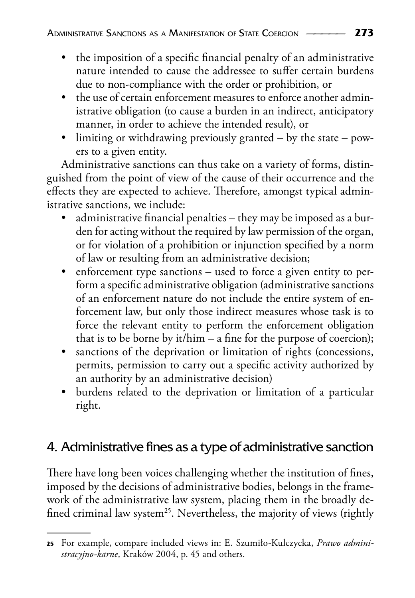- the imposition of a specific financial penalty of an administrative nature intended to cause the addressee to suffer certain burdens due to non-compliance with the order or prohibition, or
- the use of certain enforcement measures to enforce another administrative obligation (to cause a burden in an indirect, anticipatory manner, in order to achieve the intended result), or
- limiting or withdrawing previously granted by the state powers to a given entity.

Administrative sanctions can thus take on a variety of forms, distinguished from the point of view of the cause of their occurrence and the effects they are expected to achieve. Therefore, amongst typical administrative sanctions, we include:

- administrative financial penalties they may be imposed as a burden for acting without the required by law permission of the organ, or for violation of a prohibition or injunction specified by a norm of law or resulting from an administrative decision;
- enforcement type sanctions used to force a given entity to perform a specific administrative obligation (administrative sanctions of an enforcement nature do not include the entire system of enforcement law, but only those indirect measures whose task is to force the relevant entity to perform the enforcement obligation that is to be borne by it/him – a fine for the purpose of coercion);
- sanctions of the deprivation or limitation of rights (concessions, permits, permission to carry out a specific activity authorized by an authority by an administrative decision)
- burdens related to the deprivation or limitation of a particular right.

# 4. Administrative fines as a type of administrative sanction

There have long been voices challenging whether the institution of fines, imposed by the decisions of administrative bodies, belongs in the framework of the administrative law system, placing them in the broadly defined criminal law system<sup>25</sup>. Nevertheless, the majority of views (rightly

**<sup>25</sup>** For example, compare included views in: E. Szumiło-Kulczycka, *Prawo administracyjno-karne*, Kraków 2004, p. 45 and others.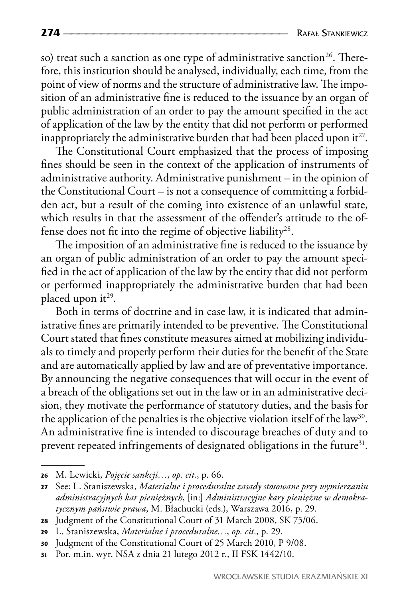so) treat such a sanction as one type of administrative sanction<sup>26</sup>. Therefore, this institution should be analysed, individually, each time, from the point of view of norms and the structure of administrative law. The imposition of an administrative fine is reduced to the issuance by an organ of public administration of an order to pay the amount specified in the act of application of the law by the entity that did not perform or performed inappropriately the administrative burden that had been placed upon it $^{27}$ .

The Constitutional Court emphasized that the process of imposing fines should be seen in the context of the application of instruments of administrative authority. Administrative punishment – in the opinion of the Constitutional Court – is not a consequence of committing a forbidden act, but a result of the coming into existence of an unlawful state, which results in that the assessment of the offender's attitude to the offense does not fit into the regime of objective liability<sup>28</sup>.

The imposition of an administrative fine is reduced to the issuance by an organ of public administration of an order to pay the amount specified in the act of application of the law by the entity that did not perform or performed inappropriately the administrative burden that had been placed upon  $it^{29}$ .

Both in terms of doctrine and in case law, it is indicated that administrative fines are primarily intended to be preventive. The Constitutional Court stated that fines constitute measures aimed at mobilizing individuals to timely and properly perform their duties for the benefit of the State and are automatically applied by law and are of preventative importance. By announcing the negative consequences that will occur in the event of a breach of the obligations set out in the law or in an administrative decision, they motivate the performance of statutory duties, and the basis for the application of the penalties is the objective violation itself of the law<sup>30</sup>. An administrative fine is intended to discourage breaches of duty and to prevent repeated infringements of designated obligations in the future<sup>31</sup>.

**<sup>26</sup>** M. Lewicki, *Pojęcie sankcji…*, *op. cit.*, p. 66.

**<sup>27</sup>** See: L. Staniszewska, *Materialne i proceduralne zasady stosowane przy wymierzaniu administracyjnych kar pieniężnych*, [in:] *Administracyjne kary pieniężne w demokratycznym państwie prawa*, M. Błachucki (eds.), Warszawa 2016, p. 29.

**<sup>28</sup>** Judgment of the Constitutional Court of 31 March 2008, SK 75/06.

**<sup>29</sup>** L. Staniszewska, *Materialne i proceduralne…*, *op. cit.*, p. 29.

**<sup>30</sup>** Judgment of the Constitutional Court of 25 March 2010, P 9/08.

**<sup>31</sup>** Por. m.in. wyr. NSA z dnia 21 lutego 2012 r., II FSK 1442/10.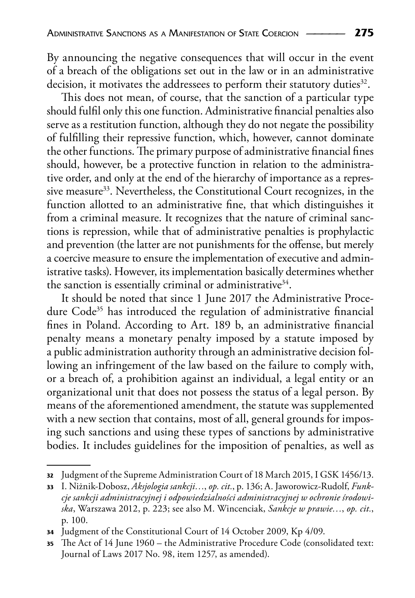By announcing the negative consequences that will occur in the event of a breach of the obligations set out in the law or in an administrative decision, it motivates the addressees to perform their statutory duties<sup>32</sup>.

This does not mean, of course, that the sanction of a particular type should fulfil only this one function. Administrative financial penalties also serve as a restitution function, although they do not negate the possibility of fulfilling their repressive function, which, however, cannot dominate the other functions. The primary purpose of administrative financial fines should, however, be a protective function in relation to the administrative order, and only at the end of the hierarchy of importance as a repressive measure<sup>33</sup>. Nevertheless, the Constitutional Court recognizes, in the function allotted to an administrative fine, that which distinguishes it from a criminal measure. It recognizes that the nature of criminal sanctions is repression, while that of administrative penalties is prophylactic and prevention (the latter are not punishments for the offense, but merely a coercive measure to ensure the implementation of executive and administrative tasks). However, its implementation basically determines whether the sanction is essentially criminal or administrative<sup>34</sup>.

It should be noted that since 1 June 2017 the Administrative Procedure Code<sup>35</sup> has introduced the regulation of administrative financial fines in Poland. According to Art. 189 b, an administrative financial penalty means a monetary penalty imposed by a statute imposed by a public administration authority through an administrative decision following an infringement of the law based on the failure to comply with, or a breach of, a prohibition against an individual, a legal entity or an organizational unit that does not possess the status of a legal person. By means of the aforementioned amendment, the statute was supplemented with a new section that contains, most of all, general grounds for imposing such sanctions and using these types of sanctions by administrative bodies. It includes guidelines for the imposition of penalties, as well as

**<sup>32</sup>** Judgment of the Supreme Administration Court of 18 March 2015, I GSK 1456/13.

**<sup>33</sup>** I. Niżnik-Dobosz, *Aksjologia sankcji…*, *op. cit.*, p. 136; A. Jaworowicz-Rudolf, *Funkcje sankcji administracyjnej i odpowiedzialności administracyjnej w ochronie środowiska*, Warszawa 2012, p. 223; see also M. Wincenciak, *Sankcje w prawie…*, *op. cit.*, p. 100.

**<sup>34</sup>** Judgment of the Constitutional Court of 14 October 2009, Kp 4/09.

**<sup>35</sup>** The Act of 14 June 1960 – the Administrative Procedure Code (consolidated text: Journal of Laws 2017 No. 98, item 1257, as amended).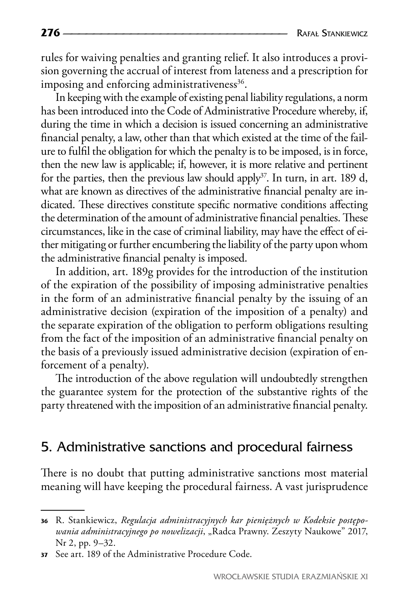rules for waiving penalties and granting relief. It also introduces a provision governing the accrual of interest from lateness and a prescription for imposing and enforcing administrativeness<sup>36</sup>.

In keeping with the example of existing penal liability regulations, a norm has been introduced into the Code of Administrative Procedure whereby, if, during the time in which a decision is issued concerning an administrative financial penalty, a law, other than that which existed at the time of the failure to fulfil the obligation for which the penalty is to be imposed, is in force, then the new law is applicable; if, however, it is more relative and pertinent for the parties, then the previous law should apply<sup>37</sup>. In turn, in art. 189 d, what are known as directives of the administrative financial penalty are indicated. These directives constitute specific normative conditions affecting the determination of the amount of administrative financial penalties. These circumstances, like in the case of criminal liability, may have the effect of either mitigating or further encumbering the liability of the party upon whom the administrative financial penalty is imposed.

In addition, art. 189g provides for the introduction of the institution of the expiration of the possibility of imposing administrative penalties in the form of an administrative financial penalty by the issuing of an administrative decision (expiration of the imposition of a penalty) and the separate expiration of the obligation to perform obligations resulting from the fact of the imposition of an administrative financial penalty on the basis of a previously issued administrative decision (expiration of enforcement of a penalty).

The introduction of the above regulation will undoubtedly strengthen the guarantee system for the protection of the substantive rights of the party threatened with the imposition of an administrative financial penalty.

### 5. Administrative sanctions and procedural fairness

There is no doubt that putting administrative sanctions most material meaning will have keeping the procedural fairness. A vast jurisprudence

**<sup>36</sup>** R. Stankiewicz, *Regulacja administracyjnych kar pieniężnych w Kodeksie postępowania administracyjnego po nowelizacji*, "Radca Prawny. Zeszyty Naukowe" 2017, Nr 2, pp. 9–32.

**<sup>37</sup>** See art. 189 of the Administrative Procedure Code.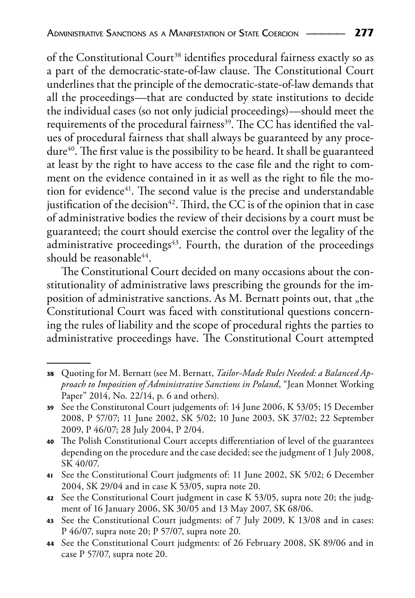of the Constitutional Court<sup>38</sup> identifies procedural fairness exactly so as a part of the democratic-state-of-law clause. The Constitutional Court underlines that the principle of the democratic-state-of-law demands that all the proceedings—that are conducted by state institutions to decide the individual cases (so not only judicial proceedings)—should meet the requirements of the procedural fairness<sup>39</sup>. The CC has identified the values of procedural fairness that shall always be guaranteed by any procedure<sup>40</sup>. The first value is the possibility to be heard. It shall be guaranteed at least by the right to have access to the case file and the right to comment on the evidence contained in it as well as the right to file the motion for evidence<sup>41</sup>. The second value is the precise and understandable justification of the decision<sup>42</sup>. Third, the CC is of the opinion that in case of administrative bodies the review of their decisions by a court must be guaranteed; the court should exercise the control over the legality of the administrative proceedings $43$ . Fourth, the duration of the proceedings should be reasonable<sup>44</sup>.

The Constitutional Court decided on many occasions about the constitutionality of administrative laws prescribing the grounds for the imposition of administrative sanctions. As M. Bernatt points out, that "the Constitutional Court was faced with constitutional questions concerning the rules of liability and the scope of procedural rights the parties to administrative proceedings have. The Constitutional Court attempted

- **<sup>41</sup>** See the Constitutional Court judgments of: 11 June 2002, SK 5/02; 6 December 2004, SK 29/04 and in case K 53/05, supra note 20.
- **<sup>42</sup>** See the Constitutional Court judgment in case K 53/05, supra note 20; the judgment of 16 January 2006, SK 30/05 and 13 May 2007, SK 68/06.
- **<sup>43</sup>** See the Constitutional Court judgments: of 7 July 2009, K 13/08 and in cases: P 46/07, supra note 20; P 57/07, supra note 20.
- **<sup>44</sup>** See the Constitutional Court judgments: of 26 February 2008, SK 89/06 and in case P 57/07, supra note 20.

**<sup>38</sup>** Quoting for M. Bernatt (see M. Bernatt, *Tailor-Made Rules Needed: a Balanced Approach to Imposition of Administrative Sanctions in Poland*, "Jean Monnet Working Paper" 2014, No. 22/14, p. 6 and others).

**<sup>39</sup>** See the Constitutonal Court judgements of: 14 June 2006, K 53/05; 15 December 2008, P 57/07; 11 June 2002, SK 5/02; 10 June 2003, SK 37/02; 22 September 2009, P 46/07; 28 July 2004, P 2/04.

**<sup>40</sup>** The Polish Constitutional Court accepts differentiation of level of the guarantees depending on the procedure and the case decided; see the judgment of 1 July 2008, SK 40/07.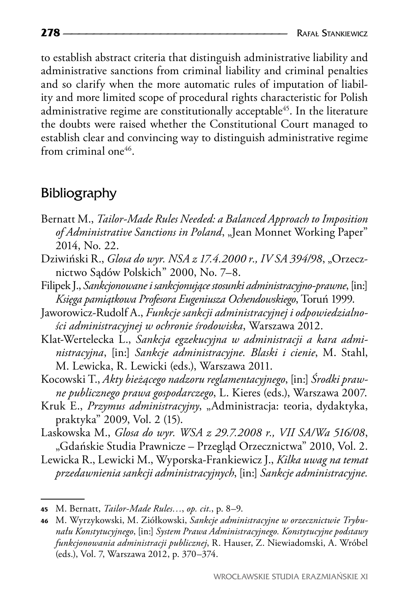to establish abstract criteria that distinguish administrative liability and administrative sanctions from criminal liability and criminal penalties and so clarify when the more automatic rules of imputation of liability and more limited scope of procedural rights characteristic for Polish administrative regime are constitutionally acceptable<sup>45</sup>. In the literature the doubts were raised whether the Constitutional Court managed to establish clear and convincing way to distinguish administrative regime from criminal one<sup>46</sup>.

### Bibliography

- Bernatt M., *Tailor-Made Rules Needed: a Balanced Approach to Imposition*  of Administrative Sanctions in Poland, "Jean Monnet Working Paper" 2014, No. 22.
- Dziwiński R., *Glosa do wyr. NSA z 17.4.2000 r., IV SA 394/98*, "Orzecznictwo Sądów Polskich" 2000, No. 7–8.
- Filipek J., *Sankcjonowane i sankcjonujące stosunki administracyjno-prawne*, [in:] *Księga pamiątkowa Profesora Eugeniusza Ochendowskiego*, Toruń 1999.
- Jaworowicz-Rudolf A., *Funkcje sankcji administracyjnej i odpowiedzialności administracyjnej w ochronie środowiska*, Warszawa 2012.
- Klat-Wertelecka L., *Sankcja egzekucyjna w administracji a kara administracyjna*, [in:] *Sankcje administracyjne. Blaski i cienie*, M. Stahl, M. Lewicka, R. Lewicki (eds.), Warszawa 2011.
- Kocowski T., *Akty bieżącego nadzoru reglamentacyjnego*, [in:] *Środki prawne publicznego prawa gospodarczego*, L. Kieres (eds.), Warszawa 2007.
- Kruk E., *Przymus administracyjny*, "Administracja: teoria, dydaktyka, praktyka" 2009, Vol. 2 (15).
- Laskowska M., *Glosa do wyr. WSA z 29.7.2008 r., VII SA/Wa 516/08*, "Gdańskie Studia Prawnicze – Przegląd Orzecznictwa" 2010, Vol. 2.
- Lewicka R., Lewicki M., Wyporska-Frankiewicz J., *Kilka uwag na temat przedawnienia sankcji administracyjnych*, [in:] *Sankcje administracyjne.*

**<sup>45</sup>** M. Bernatt, *Tailor-Made Rules…*, *op. cit.*, p. 8–9.

**<sup>46</sup>** M. Wyrzykowski, M. Ziółkowski, *Sankcje administracyjne w orzecznictwie Trybunału Konstytucyjnego*, [in:] *System Prawa Administracyjnego. Konstytucyjne podstawy funkcjonowania administracji publicznej*, R. Hauser, Z. Niewiadomski, A. Wróbel (eds.), Vol. 7, Warszawa 2012, p. 370–374.